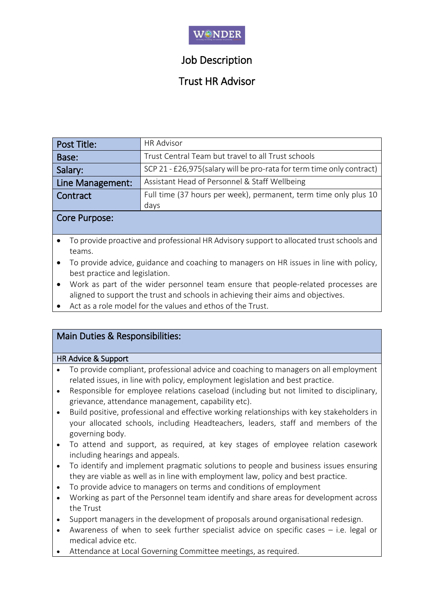

# Job Description

## Trust HR Advisor

| Post Title:      | <b>HR Advisor</b>                                                      |  |
|------------------|------------------------------------------------------------------------|--|
| Base:            | Trust Central Team but travel to all Trust schools                     |  |
| Salary:          | SCP 21 - £26,975 (salary will be pro-rata for term time only contract) |  |
| Line Management: | Assistant Head of Personnel & Staff Wellbeing                          |  |
| Contract         | Full time (37 hours per week), permanent, term time only plus 10       |  |
|                  | days                                                                   |  |

### Core Purpose:

- To provide proactive and professional HR Advisory support to allocated trust schools and teams.
- To provide advice, guidance and coaching to managers on HR issues in line with policy, best practice and legislation.
- Work as part of the wider personnel team ensure that people-related processes are aligned to support the trust and schools in achieving their aims and objectives.
- Act as a role model for the values and ethos of the Trust.

## Main Duties & Responsibilities:

### HR Advice & Support

- To provide compliant, professional advice and coaching to managers on all employment related issues, in line with policy, employment legislation and best practice.
- Responsible for employee relations caseload (including but not limited to disciplinary, grievance, attendance management, capability etc).
- Build positive, professional and effective working relationships with key stakeholders in your allocated schools, including Headteachers, leaders, staff and members of the governing body.
- To attend and support, as required, at key stages of employee relation casework including hearings and appeals.
- To identify and implement pragmatic solutions to people and business issues ensuring they are viable as well as in line with employment law, policy and best practice.
- To provide advice to managers on terms and conditions of employment
- Working as part of the Personnel team identify and share areas for development across the Trust
- Support managers in the development of proposals around organisational redesign.
- Awareness of when to seek further specialist advice on specific cases  $-$  i.e. legal or medical advice etc.
- Attendance at Local Governing Committee meetings, as required.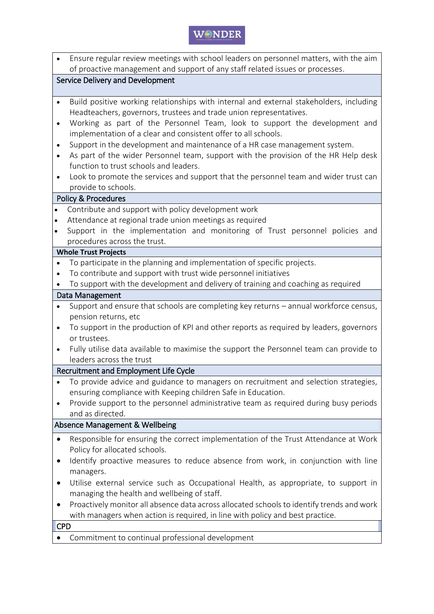

| $\bullet$                        | Ensure regular review meetings with school leaders on personnel matters, with the aim                        |  |  |  |  |  |  |
|----------------------------------|--------------------------------------------------------------------------------------------------------------|--|--|--|--|--|--|
|                                  | of proactive management and support of any staff related issues or processes.                                |  |  |  |  |  |  |
| Service Delivery and Development |                                                                                                              |  |  |  |  |  |  |
| $\bullet$                        | Build positive working relationships with internal and external stakeholders, including                      |  |  |  |  |  |  |
|                                  | Headteachers, governors, trustees and trade union representatives.                                           |  |  |  |  |  |  |
| $\bullet$                        | Working as part of the Personnel Team, look to support the development and                                   |  |  |  |  |  |  |
|                                  | implementation of a clear and consistent offer to all schools.                                               |  |  |  |  |  |  |
| $\bullet$                        | Support in the development and maintenance of a HR case management system.                                   |  |  |  |  |  |  |
| $\bullet$                        | As part of the wider Personnel team, support with the provision of the HR Help desk                          |  |  |  |  |  |  |
|                                  | function to trust schools and leaders.                                                                       |  |  |  |  |  |  |
| $\bullet$                        | Look to promote the services and support that the personnel team and wider trust can                         |  |  |  |  |  |  |
|                                  | provide to schools.                                                                                          |  |  |  |  |  |  |
|                                  | <b>Policy &amp; Procedures</b>                                                                               |  |  |  |  |  |  |
| $\bullet$                        | Contribute and support with policy development work                                                          |  |  |  |  |  |  |
| $\bullet$                        | Attendance at regional trade union meetings as required                                                      |  |  |  |  |  |  |
| $\bullet$                        | Support in the implementation and monitoring of Trust personnel policies and<br>procedures across the trust. |  |  |  |  |  |  |
|                                  | <b>Whole Trust Projects</b>                                                                                  |  |  |  |  |  |  |
| $\bullet$                        | To participate in the planning and implementation of specific projects.                                      |  |  |  |  |  |  |
| $\bullet$                        | To contribute and support with trust wide personnel initiatives                                              |  |  |  |  |  |  |
|                                  | To support with the development and delivery of training and coaching as required                            |  |  |  |  |  |  |
|                                  | Data Management                                                                                              |  |  |  |  |  |  |
| ٠                                | Support and ensure that schools are completing key returns - annual workforce census,                        |  |  |  |  |  |  |
|                                  | pension returns, etc                                                                                         |  |  |  |  |  |  |
| $\bullet$                        | To support in the production of KPI and other reports as required by leaders, governors                      |  |  |  |  |  |  |
|                                  | or trustees.                                                                                                 |  |  |  |  |  |  |
| $\bullet$                        | Fully utilise data available to maximise the support the Personnel team can provide to                       |  |  |  |  |  |  |
|                                  | leaders across the trust                                                                                     |  |  |  |  |  |  |
|                                  | Recruitment and Employment Life Cycle                                                                        |  |  |  |  |  |  |
| ٠                                | To provide advice and guidance to managers on recruitment and selection strategies,                          |  |  |  |  |  |  |
|                                  | ensuring compliance with Keeping children Safe in Education.                                                 |  |  |  |  |  |  |
|                                  | Provide support to the personnel administrative team as required during busy periods                         |  |  |  |  |  |  |
|                                  | and as directed.<br>Absence Management & Wellbeing                                                           |  |  |  |  |  |  |
|                                  | Responsible for ensuring the correct implementation of the Trust Attendance at Work                          |  |  |  |  |  |  |
| $\bullet$                        | Policy for allocated schools.                                                                                |  |  |  |  |  |  |
| $\bullet$                        | Identify proactive measures to reduce absence from work, in conjunction with line                            |  |  |  |  |  |  |
|                                  | managers.                                                                                                    |  |  |  |  |  |  |
| $\bullet$                        | Utilise external service such as Occupational Health, as appropriate, to support in                          |  |  |  |  |  |  |
|                                  | managing the health and wellbeing of staff.                                                                  |  |  |  |  |  |  |
| $\bullet$                        | Proactively monitor all absence data across allocated schools to identify trends and work                    |  |  |  |  |  |  |
|                                  | with managers when action is required, in line with policy and best practice.                                |  |  |  |  |  |  |
|                                  | <b>CPD</b>                                                                                                   |  |  |  |  |  |  |
| $\bullet$                        | Commitment to continual professional development                                                             |  |  |  |  |  |  |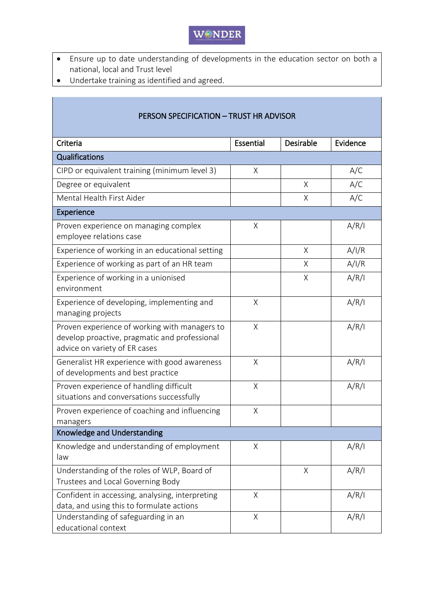# WONDER

- Ensure up to date understanding of developments in the education sector on both a national, local and Trust level
- Undertake training as identified and agreed.

| PERSON SPECIFICATION - TRUST HR ADVISOR                                                                                         |           |           |          |  |  |  |
|---------------------------------------------------------------------------------------------------------------------------------|-----------|-----------|----------|--|--|--|
| Criteria                                                                                                                        | Essential | Desirable | Evidence |  |  |  |
| <b>Qualifications</b>                                                                                                           |           |           |          |  |  |  |
| CIPD or equivalent training (minimum level 3)                                                                                   | X         |           | A/C      |  |  |  |
| Degree or equivalent                                                                                                            |           | X         | A/C      |  |  |  |
| Mental Health First Aider                                                                                                       |           | Χ         | A/C      |  |  |  |
| Experience                                                                                                                      |           |           |          |  |  |  |
| Proven experience on managing complex<br>employee relations case                                                                | Χ         |           | A/R/I    |  |  |  |
| Experience of working in an educational setting                                                                                 |           | X         | A/I/R    |  |  |  |
| Experience of working as part of an HR team                                                                                     |           | X         | A/I/R    |  |  |  |
| Experience of working in a unionised<br>environment                                                                             |           | X         | A/R/I    |  |  |  |
| Experience of developing, implementing and<br>managing projects                                                                 | Χ         |           | A/R/I    |  |  |  |
| Proven experience of working with managers to<br>develop proactive, pragmatic and professional<br>advice on variety of ER cases | X         |           | A/R/I    |  |  |  |
| Generalist HR experience with good awareness<br>of developments and best practice                                               | X         |           | A/R/I    |  |  |  |
| Proven experience of handling difficult<br>situations and conversations successfully                                            | Χ         |           | A/R/I    |  |  |  |
| Proven experience of coaching and influencing<br>managers                                                                       | Χ         |           |          |  |  |  |
| Knowledge and Understanding                                                                                                     |           |           |          |  |  |  |
| Knowledge and understanding of employment<br>law                                                                                | Χ         |           | A/R/I    |  |  |  |
| Understanding of the roles of WLP, Board of<br>Trustees and Local Governing Body                                                |           | $\sf X$   | A/R/I    |  |  |  |
| Confident in accessing, analysing, interpreting<br>data, and using this to formulate actions                                    | Χ         |           | A/R/I    |  |  |  |
| Understanding of safeguarding in an<br>educational context                                                                      | Χ         |           | A/R/I    |  |  |  |